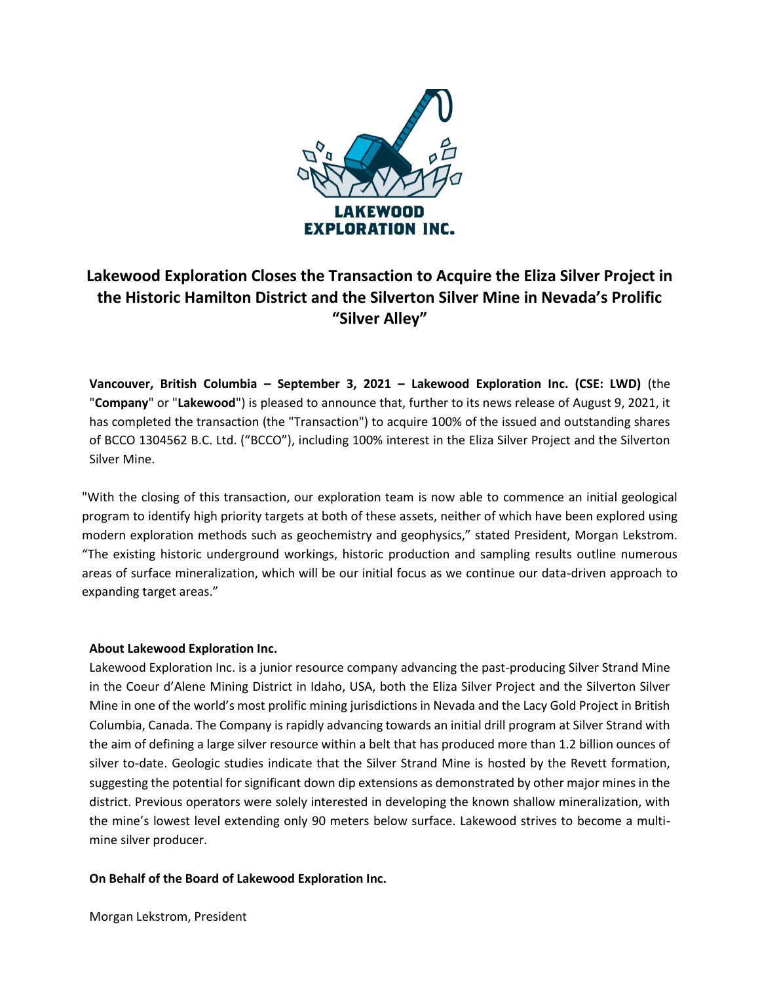

## **Lakewood Exploration Closes the Transaction to Acquire the Eliza Silver Project in the Historic Hamilton District and the Silverton Silver Mine in Nevada's Prolific "Silver Alley"**

**Vancouver, British Columbia – September 3, 2021 – Lakewood Exploration Inc. (CSE: LWD)** (the "**Company**" or "**Lakewood**") is pleased to announce that, further to its news release of August 9, 2021, it has completed the transaction (the "Transaction") to acquire 100% of the issued and outstanding shares of BCCO 1304562 B.C. Ltd. ("BCCO"), including 100% interest in the Eliza Silver Project and the Silverton Silver Mine.

"With the closing of this transaction, our exploration team is now able to commence an initial geological program to identify high priority targets at both of these assets, neither of which have been explored using modern exploration methods such as geochemistry and geophysics," stated President, Morgan Lekstrom. "The existing historic underground workings, historic production and sampling results outline numerous areas of surface mineralization, which will be our initial focus as we continue our data-driven approach to expanding target areas."

## **About Lakewood Exploration Inc.**

Lakewood Exploration Inc. is a junior resource company advancing the past-producing Silver Strand Mine in the Coeur d'Alene Mining District in Idaho, USA, both the Eliza Silver Project and the Silverton Silver Mine in one of the world's most prolific mining jurisdictions in Nevada and the Lacy Gold Project in British Columbia, Canada. The Company is rapidly advancing towards an initial drill program at Silver Strand with the aim of defining a large silver resource within a belt that has produced more than 1.2 billion ounces of silver to-date. Geologic studies indicate that the Silver Strand Mine is hosted by the Revett formation, suggesting the potential for significant down dip extensions as demonstrated by other major mines in the district. Previous operators were solely interested in developing the known shallow mineralization, with the mine's lowest level extending only 90 meters below surface. Lakewood strives to become a multimine silver producer.

## **On Behalf of the Board of Lakewood Exploration Inc.**

Morgan Lekstrom, President